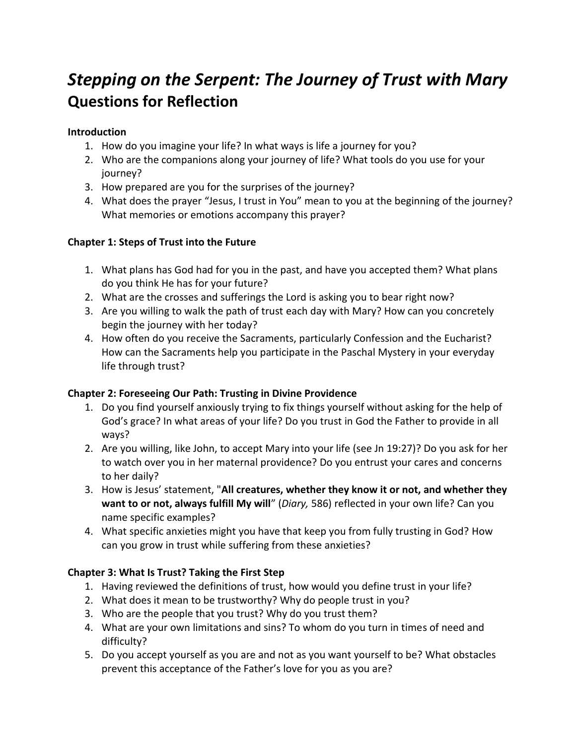# *Stepping on the Serpent: The Journey of Trust with Mary* **Questions for Reflection**

### **Introduction**

- 1. How do you imagine your life? In what ways is life a journey for you?
- 2. Who are the companions along your journey of life? What tools do you use for your journey?
- 3. How prepared are you for the surprises of the journey?
- 4. What does the prayer "Jesus, I trust in You" mean to you at the beginning of the journey? What memories or emotions accompany this prayer?

# **Chapter 1: Steps of Trust into the Future**

- 1. What plans has God had for you in the past, and have you accepted them? What plans do you think He has for your future?
- 2. What are the crosses and sufferings the Lord is asking you to bear right now?
- 3. Are you willing to walk the path of trust each day with Mary? How can you concretely begin the journey with her today?
- 4. How often do you receive the Sacraments, particularly Confession and the Eucharist? How can the Sacraments help you participate in the Paschal Mystery in your everyday life through trust?

# **Chapter 2: Foreseeing Our Path: Trusting in Divine Providence**

- 1. Do you find yourself anxiously trying to fix things yourself without asking for the help of God's grace? In what areas of your life? Do you trust in God the Father to provide in all ways?
- 2. Are you willing, like John, to accept Mary into your life (see Jn 19:27)? Do you ask for her to watch over you in her maternal providence? Do you entrust your cares and concerns to her daily?
- 3. How is Jesus' statement, "**All creatures, whether they know it or not, and whether they want to or not, always fulfill My will**" (*Diary,* 586) reflected in your own life? Can you name specific examples?
- 4. What specific anxieties might you have that keep you from fully trusting in God? How can you grow in trust while suffering from these anxieties?

# **Chapter 3: What Is Trust? Taking the First Step**

- 1. Having reviewed the definitions of trust, how would you define trust in your life?
- 2. What does it mean to be trustworthy? Why do people trust in you?
- 3. Who are the people that you trust? Why do you trust them?
- 4. What are your own limitations and sins? To whom do you turn in times of need and difficulty?
- 5. Do you accept yourself as you are and not as you want yourself to be? What obstacles prevent this acceptance of the Father's love for you as you are?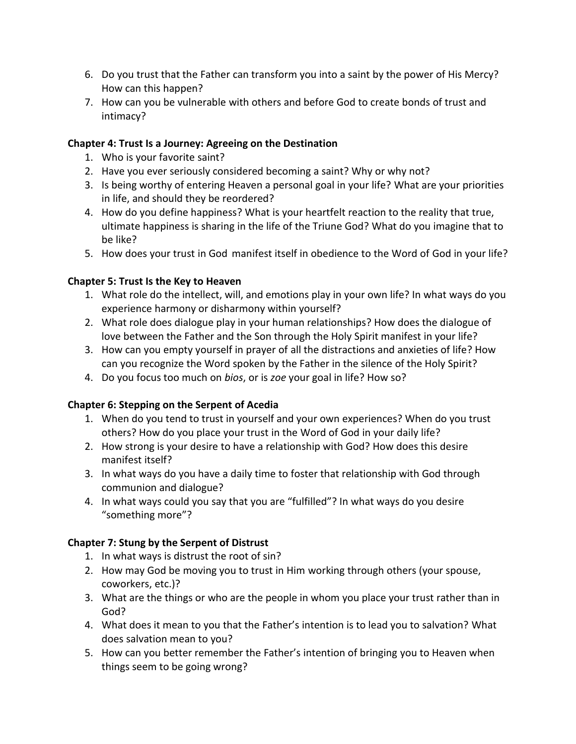- 6. Do you trust that the Father can transform you into a saint by the power of His Mercy? How can this happen?
- 7. How can you be vulnerable with others and before God to create bonds of trust and intimacy?

### **Chapter 4: Trust Is a Journey: Agreeing on the Destination**

- 1. Who is your favorite saint?
- 2. Have you ever seriously considered becoming a saint? Why or why not?
- 3. Is being worthy of entering Heaven a personal goal in your life? What are your priorities in life, and should they be reordered?
- 4. How do you define happiness? What is your heartfelt reaction to the reality that true, ultimate happiness is sharing in the life of the Triune God? What do you imagine that to be like?
- 5. How does your trust in God manifest itself in obedience to the Word of God in your life?

# **Chapter 5: Trust Is the Key to Heaven**

- 1. What role do the intellect, will, and emotions play in your own life? In what ways do you experience harmony or disharmony within yourself?
- 2. What role does dialogue play in your human relationships? How does the dialogue of love between the Father and the Son through the Holy Spirit manifest in your life?
- 3. How can you empty yourself in prayer of all the distractions and anxieties of life? How can you recognize the Word spoken by the Father in the silence of the Holy Spirit?
- 4. Do you focus too much on *bios*, or is *zoe* your goal in life? How so?

#### **Chapter 6: Stepping on the Serpent of Acedia**

- 1. When do you tend to trust in yourself and your own experiences? When do you trust others? How do you place your trust in the Word of God in your daily life?
- 2. How strong is your desire to have a relationship with God? How does this desire manifest itself?
- 3. In what ways do you have a daily time to foster that relationship with God through communion and dialogue?
- 4. In what ways could you say that you are "fulfilled"? In what ways do you desire "something more"?

#### **Chapter 7: Stung by the Serpent of Distrust**

- 1. In what ways is distrust the root of sin?
- 2. How may God be moving you to trust in Him working through others (your spouse, coworkers, etc.)?
- 3. What are the things or who are the people in whom you place your trust rather than in God?
- 4. What does it mean to you that the Father's intention is to lead you to salvation? What does salvation mean to you?
- 5. How can you better remember the Father's intention of bringing you to Heaven when things seem to be going wrong?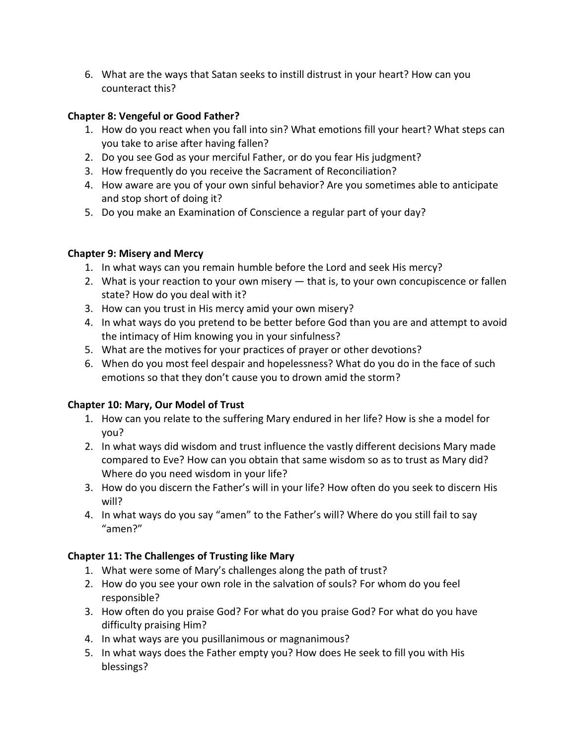6. What are the ways that Satan seeks to instill distrust in your heart? How can you counteract this?

# **Chapter 8: Vengeful or Good Father?**

- 1. How do you react when you fall into sin? What emotions fill your heart? What steps can you take to arise after having fallen?
- 2. Do you see God as your merciful Father, or do you fear His judgment?
- 3. How frequently do you receive the Sacrament of Reconciliation?
- 4. How aware are you of your own sinful behavior? Are you sometimes able to anticipate and stop short of doing it?
- 5. Do you make an Examination of Conscience a regular part of your day?

# **Chapter 9: Misery and Mercy**

- 1. In what ways can you remain humble before the Lord and seek His mercy?
- 2. What is your reaction to your own misery that is, to your own concupiscence or fallen state? How do you deal with it?
- 3. How can you trust in His mercy amid your own misery?
- 4. In what ways do you pretend to be better before God than you are and attempt to avoid the intimacy of Him knowing you in your sinfulness?
- 5. What are the motives for your practices of prayer or other devotions?
- 6. When do you most feel despair and hopelessness? What do you do in the face of such emotions so that they don't cause you to drown amid the storm?

# **Chapter 10: Mary, Our Model of Trust**

- 1. How can you relate to the suffering Mary endured in her life? How is she a model for you?
- 2. In what ways did wisdom and trust influence the vastly different decisions Mary made compared to Eve? How can you obtain that same wisdom so as to trust as Mary did? Where do you need wisdom in your life?
- 3. How do you discern the Father's will in your life? How often do you seek to discern His will?
- 4. In what ways do you say "amen" to the Father's will? Where do you still fail to say "amen?"

# **Chapter 11: The Challenges of Trusting like Mary**

- 1. What were some of Mary's challenges along the path of trust?
- 2. How do you see your own role in the salvation of souls? For whom do you feel responsible?
- 3. How often do you praise God? For what do you praise God? For what do you have difficulty praising Him?
- 4. In what ways are you pusillanimous or magnanimous?
- 5. In what ways does the Father empty you? How does He seek to fill you with His blessings?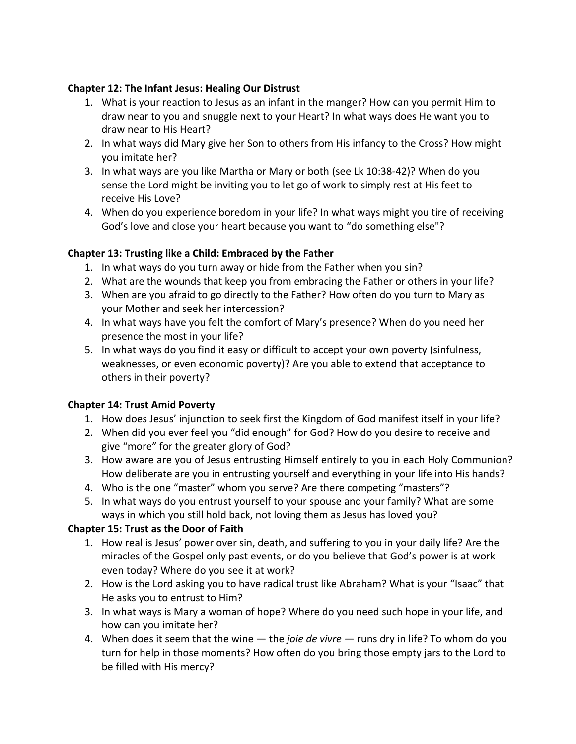#### **Chapter 12: The Infant Jesus: Healing Our Distrust**

- 1. What is your reaction to Jesus as an infant in the manger? How can you permit Him to draw near to you and snuggle next to your Heart? In what ways does He want you to draw near to His Heart?
- 2. In what ways did Mary give her Son to others from His infancy to the Cross? How might you imitate her?
- 3. In what ways are you like Martha or Mary or both (see Lk 10:38-42)? When do you sense the Lord might be inviting you to let go of work to simply rest at His feet to receive His Love?
- 4. When do you experience boredom in your life? In what ways might you tire of receiving God's love and close your heart because you want to "do something else"?

#### **Chapter 13: Trusting like a Child: Embraced by the Father**

- 1. In what ways do you turn away or hide from the Father when you sin?
- 2. What are the wounds that keep you from embracing the Father or others in your life?
- 3. When are you afraid to go directly to the Father? How often do you turn to Mary as your Mother and seek her intercession?
- 4. In what ways have you felt the comfort of Mary's presence? When do you need her presence the most in your life?
- 5. In what ways do you find it easy or difficult to accept your own poverty (sinfulness, weaknesses, or even economic poverty)? Are you able to extend that acceptance to others in their poverty?

#### **Chapter 14: Trust Amid Poverty**

- 1. How does Jesus' injunction to seek first the Kingdom of God manifest itself in your life?
- 2. When did you ever feel you "did enough" for God? How do you desire to receive and give "more" for the greater glory of God?
- 3. How aware are you of Jesus entrusting Himself entirely to you in each Holy Communion? How deliberate are you in entrusting yourself and everything in your life into His hands?
- 4. Who is the one "master" whom you serve? Are there competing "masters"?
- 5. In what ways do you entrust yourself to your spouse and your family? What are some ways in which you still hold back, not loving them as Jesus has loved you?

# **Chapter 15: Trust as the Door of Faith**

- 1. How real is Jesus' power over sin, death, and suffering to you in your daily life? Are the miracles of the Gospel only past events, or do you believe that God's power is at work even today? Where do you see it at work?
- 2. How is the Lord asking you to have radical trust like Abraham? What is your "Isaac" that He asks you to entrust to Him?
- 3. In what ways is Mary a woman of hope? Where do you need such hope in your life, and how can you imitate her?
- 4. When does it seem that the wine the *joie de vivre*  runs dry in life? To whom do you turn for help in those moments? How often do you bring those empty jars to the Lord to be filled with His mercy?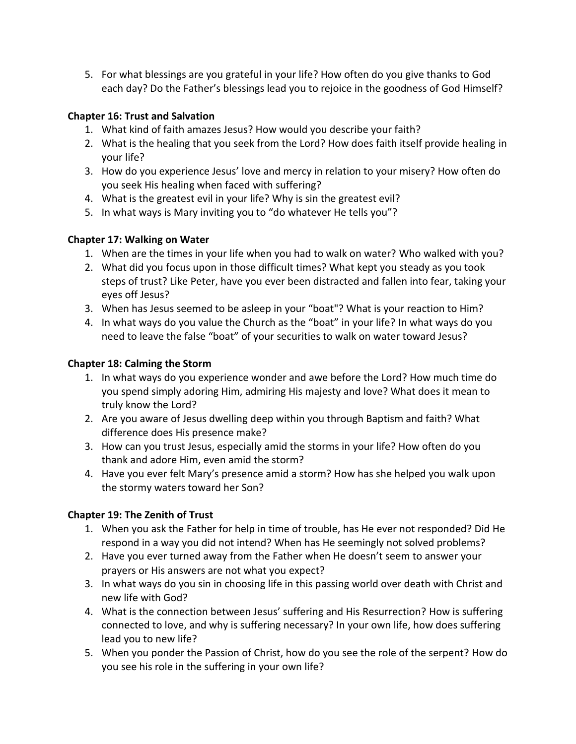5. For what blessings are you grateful in your life? How often do you give thanks to God each day? Do the Father's blessings lead you to rejoice in the goodness of God Himself?

# **Chapter 16: Trust and Salvation**

- 1. What kind of faith amazes Jesus? How would you describe your faith?
- 2. What is the healing that you seek from the Lord? How does faith itself provide healing in your life?
- 3. How do you experience Jesus' love and mercy in relation to your misery? How often do you seek His healing when faced with suffering?
- 4. What is the greatest evil in your life? Why is sin the greatest evil?
- 5. In what ways is Mary inviting you to "do whatever He tells you"?

# **Chapter 17: Walking on Water**

- 1. When are the times in your life when you had to walk on water? Who walked with you?
- 2. What did you focus upon in those difficult times? What kept you steady as you took steps of trust? Like Peter, have you ever been distracted and fallen into fear, taking your eyes off Jesus?
- 3. When has Jesus seemed to be asleep in your "boat"? What is your reaction to Him?
- 4. In what ways do you value the Church as the "boat" in your life? In what ways do you need to leave the false "boat" of your securities to walk on water toward Jesus?

# **Chapter 18: Calming the Storm**

- 1. In what ways do you experience wonder and awe before the Lord? How much time do you spend simply adoring Him, admiring His majesty and love? What does it mean to truly know the Lord?
- 2. Are you aware of Jesus dwelling deep within you through Baptism and faith? What difference does His presence make?
- 3. How can you trust Jesus, especially amid the storms in your life? How often do you thank and adore Him, even amid the storm?
- 4. Have you ever felt Mary's presence amid a storm? How has she helped you walk upon the stormy waters toward her Son?

# **Chapter 19: The Zenith of Trust**

- 1. When you ask the Father for help in time of trouble, has He ever not responded? Did He respond in a way you did not intend? When has He seemingly not solved problems?
- 2. Have you ever turned away from the Father when He doesn't seem to answer your prayers or His answers are not what you expect?
- 3. In what ways do you sin in choosing life in this passing world over death with Christ and new life with God?
- 4. What is the connection between Jesus' suffering and His Resurrection? How is suffering connected to love, and why is suffering necessary? In your own life, how does suffering lead you to new life?
- 5. When you ponder the Passion of Christ, how do you see the role of the serpent? How do you see his role in the suffering in your own life?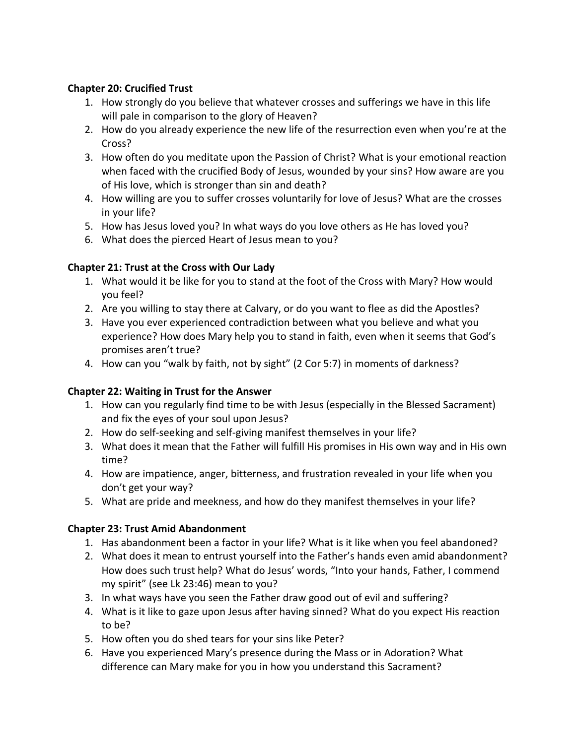### **Chapter 20: Crucified Trust**

- 1. How strongly do you believe that whatever crosses and sufferings we have in this life will pale in comparison to the glory of Heaven?
- 2. How do you already experience the new life of the resurrection even when you're at the Cross?
- 3. How often do you meditate upon the Passion of Christ? What is your emotional reaction when faced with the crucified Body of Jesus, wounded by your sins? How aware are you of His love, which is stronger than sin and death?
- 4. How willing are you to suffer crosses voluntarily for love of Jesus? What are the crosses in your life?
- 5. How has Jesus loved you? In what ways do you love others as He has loved you?
- 6. What does the pierced Heart of Jesus mean to you?

# **Chapter 21: Trust at the Cross with Our Lady**

- 1. What would it be like for you to stand at the foot of the Cross with Mary? How would you feel?
- 2. Are you willing to stay there at Calvary, or do you want to flee as did the Apostles?
- 3. Have you ever experienced contradiction between what you believe and what you experience? How does Mary help you to stand in faith, even when it seems that God's promises aren't true?
- 4. How can you "walk by faith, not by sight" (2 Cor 5:7) in moments of darkness?

#### **Chapter 22: Waiting in Trust for the Answer**

- 1. How can you regularly find time to be with Jesus (especially in the Blessed Sacrament) and fix the eyes of your soul upon Jesus?
- 2. How do self-seeking and self-giving manifest themselves in your life?
- 3. What does it mean that the Father will fulfill His promises in His own way and in His own time?
- 4. How are impatience, anger, bitterness, and frustration revealed in your life when you don't get your way?
- 5. What are pride and meekness, and how do they manifest themselves in your life?

# **Chapter 23: Trust Amid Abandonment**

- 1. Has abandonment been a factor in your life? What is it like when you feel abandoned?
- 2. What does it mean to entrust yourself into the Father's hands even amid abandonment? How does such trust help? What do Jesus' words, "Into your hands, Father, I commend my spirit" (see Lk 23:46) mean to you?
- 3. In what ways have you seen the Father draw good out of evil and suffering?
- 4. What is it like to gaze upon Jesus after having sinned? What do you expect His reaction to be?
- 5. How often you do shed tears for your sins like Peter?
- 6. Have you experienced Mary's presence during the Mass or in Adoration? What difference can Mary make for you in how you understand this Sacrament?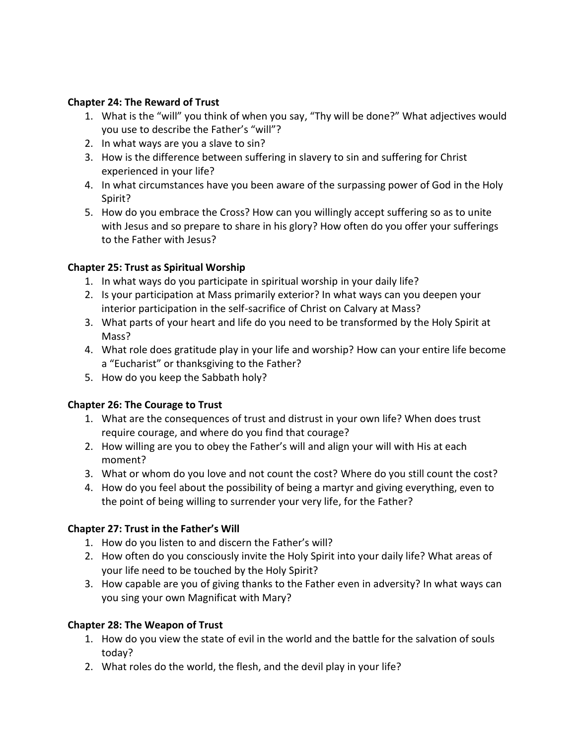#### **Chapter 24: The Reward of Trust**

- 1. What is the "will" you think of when you say, "Thy will be done?" What adjectives would you use to describe the Father's "will"?
- 2. In what ways are you a slave to sin?
- 3. How is the difference between suffering in slavery to sin and suffering for Christ experienced in your life?
- 4. In what circumstances have you been aware of the surpassing power of God in the Holy Spirit?
- 5. How do you embrace the Cross? How can you willingly accept suffering so as to unite with Jesus and so prepare to share in his glory? How often do you offer your sufferings to the Father with Jesus?

#### **Chapter 25: Trust as Spiritual Worship**

- 1. In what ways do you participate in spiritual worship in your daily life?
- 2. Is your participation at Mass primarily exterior? In what ways can you deepen your interior participation in the self-sacrifice of Christ on Calvary at Mass?
- 3. What parts of your heart and life do you need to be transformed by the Holy Spirit at Mass?
- 4. What role does gratitude play in your life and worship? How can your entire life become a "Eucharist" or thanksgiving to the Father?
- 5. How do you keep the Sabbath holy?

#### **Chapter 26: The Courage to Trust**

- 1. What are the consequences of trust and distrust in your own life? When does trust require courage, and where do you find that courage?
- 2. How willing are you to obey the Father's will and align your will with His at each moment?
- 3. What or whom do you love and not count the cost? Where do you still count the cost?
- 4. How do you feel about the possibility of being a martyr and giving everything, even to the point of being willing to surrender your very life, for the Father?

# **Chapter 27: Trust in the Father's Will**

- 1. How do you listen to and discern the Father's will?
- 2. How often do you consciously invite the Holy Spirit into your daily life? What areas of your life need to be touched by the Holy Spirit?
- 3. How capable are you of giving thanks to the Father even in adversity? In what ways can you sing your own Magnificat with Mary?

#### **Chapter 28: The Weapon of Trust**

- 1. How do you view the state of evil in the world and the battle for the salvation of souls today?
- 2. What roles do the world, the flesh, and the devil play in your life?